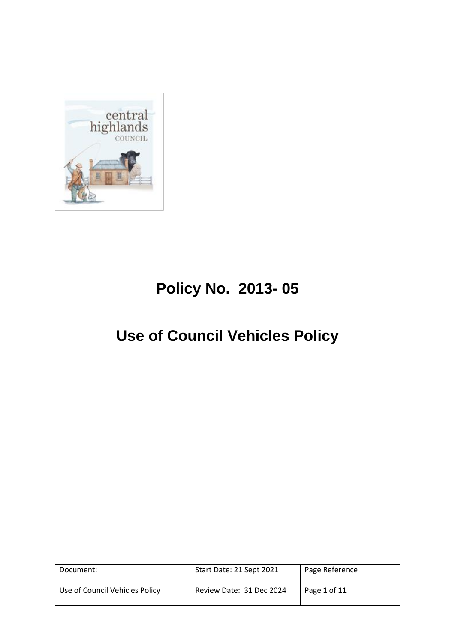

# **Policy No. 2013- 05**

# **Use of Council Vehicles Policy**

| Document:                      | Start Date: 21 Sept 2021 | Page Reference: |
|--------------------------------|--------------------------|-----------------|
| Use of Council Vehicles Policy | Review Date: 31 Dec 2024 | Page 1 of 11    |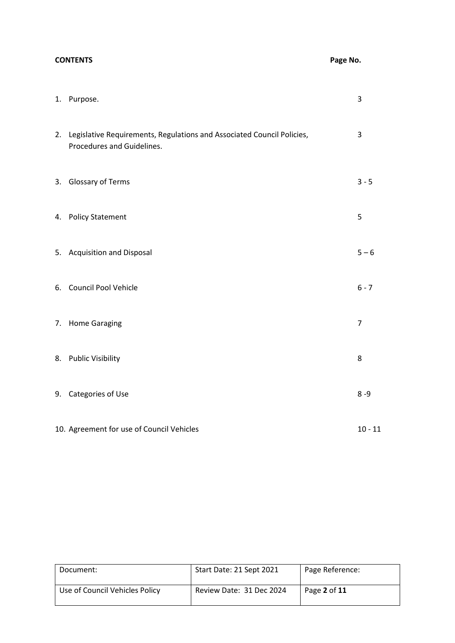## **CONTENTS Page No.**

| 1. Purpose.                                                                                             | 3         |
|---------------------------------------------------------------------------------------------------------|-----------|
| 2. Legislative Requirements, Regulations and Associated Council Policies,<br>Procedures and Guidelines. | 3         |
| 3. Glossary of Terms                                                                                    | $3 - 5$   |
| 4. Policy Statement                                                                                     | 5         |
| 5. Acquisition and Disposal                                                                             | $5 - 6$   |
| 6. Council Pool Vehicle                                                                                 | $6 - 7$   |
| 7. Home Garaging                                                                                        | 7         |
| 8. Public Visibility                                                                                    | 8         |
| 9. Categories of Use                                                                                    | $8 - 9$   |
| 10. Agreement for use of Council Vehicles                                                               | $10 - 11$ |

| Document:                      | Start Date: 21 Sept 2021 | Page Reference: |
|--------------------------------|--------------------------|-----------------|
| Use of Council Vehicles Policy | Review Date: 31 Dec 2024 | Page 2 of 11    |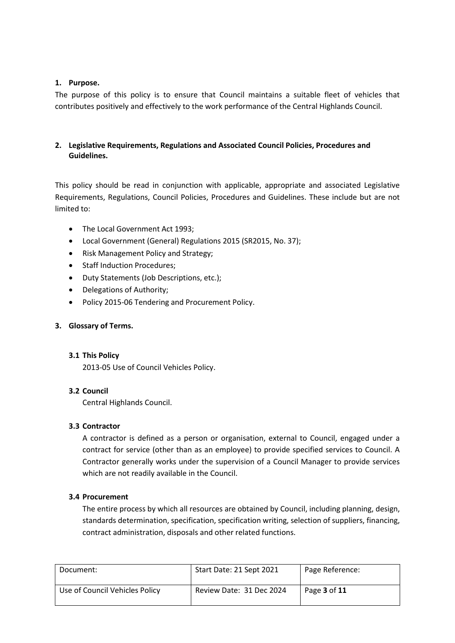### **1. Purpose.**

The purpose of this policy is to ensure that Council maintains a suitable fleet of vehicles that contributes positively and effectively to the work performance of the Central Highlands Council.

## **2. Legislative Requirements, Regulations and Associated Council Policies, Procedures and Guidelines.**

This policy should be read in conjunction with applicable, appropriate and associated Legislative Requirements, Regulations, Council Policies, Procedures and Guidelines. These include but are not limited to:

- The Local Government Act 1993;
- Local Government (General) Regulations 2015 (SR2015, No. 37);
- Risk Management Policy and Strategy;
- Staff Induction Procedures;
- Duty Statements (Job Descriptions, etc.);
- Delegations of Authority;
- Policy 2015-06 Tendering and Procurement Policy.

## **3. Glossary of Terms.**

#### **3.1 This Policy**

2013-05 Use of Council Vehicles Policy.

## **3.2 Council**

Central Highlands Council.

## **3.3 Contractor**

A contractor is defined as a person or organisation, external to Council, engaged under a contract for service (other than as an employee) to provide specified services to Council. A Contractor generally works under the supervision of a Council Manager to provide services which are not readily available in the Council.

#### **3.4 Procurement**

The entire process by which all resources are obtained by Council, including planning, design, standards determination, specification, specification writing, selection of suppliers, financing, contract administration, disposals and other related functions.

| Document:                      | Start Date: 21 Sept 2021 | Page Reference: |
|--------------------------------|--------------------------|-----------------|
| Use of Council Vehicles Policy | Review Date: 31 Dec 2024 | Page 3 of 11    |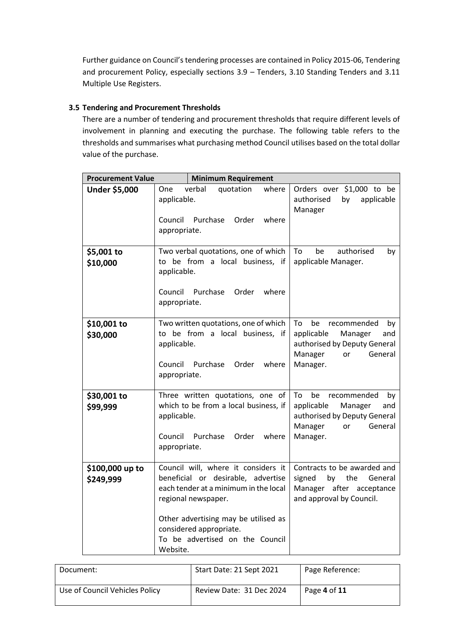Further guidance on Council's tendering processes are contained in Policy 2015-06, Tendering and procurement Policy, especially sections 3.9 – Tenders, 3.10 Standing Tenders and 3.11 Multiple Use Registers.

### **3.5 Tendering and Procurement Thresholds**

There are a number of tendering and procurement thresholds that require different levels of involvement in planning and executing the purchase. The following table refers to the thresholds and summarises what purchasing method Council utilises based on the total dollar value of the purchase.

| <b>Procurement Value</b>     | <b>Minimum Requirement</b>                                                                                                                                                                                                                                  |                                                                                                                                       |
|------------------------------|-------------------------------------------------------------------------------------------------------------------------------------------------------------------------------------------------------------------------------------------------------------|---------------------------------------------------------------------------------------------------------------------------------------|
| Under \$5,000                | verbal<br>where<br>One<br>quotation<br>applicable.<br>Purchase<br>where<br>Council<br>Order<br>appropriate.                                                                                                                                                 | Orders over \$1,000 to be<br>authorised<br>by<br>applicable<br>Manager                                                                |
| \$5,001 to<br>\$10,000       | Two verbal quotations, one of which<br>to be from a local business, if<br>applicable.<br>Purchase<br>Council<br>Order<br>where<br>appropriate.                                                                                                              | To<br>authorised<br>be<br>by<br>applicable Manager.                                                                                   |
| \$10,001 to<br>\$30,000      | Two written quotations, one of which<br>to be from a local business, if<br>applicable.<br>Purchase<br>where<br>Council<br>Order<br>appropriate.                                                                                                             | To<br>be<br>recommended<br>by<br>applicable<br>Manager<br>and<br>authorised by Deputy General<br>General<br>Manager<br>or<br>Manager. |
| \$30,001 to<br>\$99,999      | Three written quotations, one of<br>which to be from a local business, if<br>applicable.<br>Council<br>Purchase<br>Order<br>where<br>appropriate.                                                                                                           | To<br>be<br>recommended<br>by<br>applicable<br>Manager<br>and<br>authorised by Deputy General<br>Manager<br>General<br>or<br>Manager. |
| \$100,000 up to<br>\$249,999 | Council will, where it considers it<br>beneficial or desirable, advertise<br>each tender at a minimum in the local<br>regional newspaper.<br>Other advertising may be utilised as<br>considered appropriate.<br>To be advertised on the Council<br>Website. | Contracts to be awarded and<br>by<br>the<br>General<br>signed<br>Manager after acceptance<br>and approval by Council.                 |

| Document:                      | Start Date: 21 Sept 2021 | Page Reference: |
|--------------------------------|--------------------------|-----------------|
| Use of Council Vehicles Policy | Review Date: 31 Dec 2024 | Page 4 of 11    |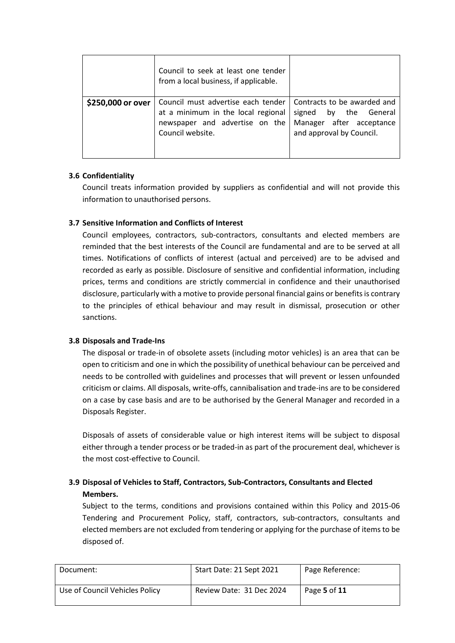|                   | Council to seek at least one tender<br>from a local business, if applicable.                                                                                 |                                                                                  |
|-------------------|--------------------------------------------------------------------------------------------------------------------------------------------------------------|----------------------------------------------------------------------------------|
| \$250,000 or over | Council must advertise each tender   Contracts to be awarded and<br>at a minimum in the local regional<br>newspaper and advertise on the<br>Council website. | by the General<br>signed<br>Manager after acceptance<br>and approval by Council. |

## **3.6 Confidentiality**

Council treats information provided by suppliers as confidential and will not provide this information to unauthorised persons.

## **3.7 Sensitive Information and Conflicts of Interest**

Council employees, contractors, sub-contractors, consultants and elected members are reminded that the best interests of the Council are fundamental and are to be served at all times. Notifications of conflicts of interest (actual and perceived) are to be advised and recorded as early as possible. Disclosure of sensitive and confidential information, including prices, terms and conditions are strictly commercial in confidence and their unauthorised disclosure, particularly with a motive to provide personal financial gains or benefits is contrary to the principles of ethical behaviour and may result in dismissal, prosecution or other sanctions.

## **3.8 Disposals and Trade-Ins**

The disposal or trade-in of obsolete assets (including motor vehicles) is an area that can be open to criticism and one in which the possibility of unethical behaviour can be perceived and needs to be controlled with guidelines and processes that will prevent or lessen unfounded criticism or claims. All disposals, write-offs, cannibalisation and trade-ins are to be considered on a case by case basis and are to be authorised by the General Manager and recorded in a Disposals Register.

Disposals of assets of considerable value or high interest items will be subject to disposal either through a tender process or be traded-in as part of the procurement deal, whichever is the most cost-effective to Council.

## **3.9 Disposal of Vehicles to Staff, Contractors, Sub-Contractors, Consultants and Elected Members.**

Subject to the terms, conditions and provisions contained within this Policy and 2015-06 Tendering and Procurement Policy, staff, contractors, sub-contractors, consultants and elected members are not excluded from tendering or applying for the purchase of items to be disposed of.

| Document:                      | Start Date: 21 Sept 2021 | Page Reference: |
|--------------------------------|--------------------------|-----------------|
| Use of Council Vehicles Policy | Review Date: 31 Dec 2024 | Page 5 of 11    |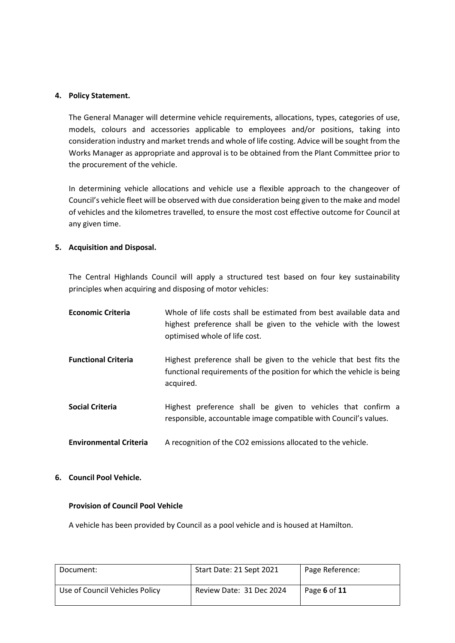#### **4. Policy Statement.**

The General Manager will determine vehicle requirements, allocations, types, categories of use, models, colours and accessories applicable to employees and/or positions, taking into consideration industry and market trends and whole of life costing. Advice will be sought from the Works Manager as appropriate and approval is to be obtained from the Plant Committee prior to the procurement of the vehicle.

In determining vehicle allocations and vehicle use a flexible approach to the changeover of Council's vehicle fleet will be observed with due consideration being given to the make and model of vehicles and the kilometres travelled, to ensure the most cost effective outcome for Council at any given time.

#### **5. Acquisition and Disposal.**

The Central Highlands Council will apply a structured test based on four key sustainability principles when acquiring and disposing of motor vehicles:

| <b>Economic Criteria</b>      | Whole of life costs shall be estimated from best available data and<br>highest preference shall be given to the vehicle with the lowest<br>optimised whole of life cost. |
|-------------------------------|--------------------------------------------------------------------------------------------------------------------------------------------------------------------------|
| <b>Functional Criteria</b>    | Highest preference shall be given to the vehicle that best fits the<br>functional requirements of the position for which the vehicle is being<br>acquired.               |
| <b>Social Criteria</b>        | Highest preference shall be given to vehicles that confirm a<br>responsible, accountable image compatible with Council's values.                                         |
| <b>Environmental Criteria</b> | A recognition of the CO2 emissions allocated to the vehicle.                                                                                                             |

**6. Council Pool Vehicle.**

#### **Provision of Council Pool Vehicle**

A vehicle has been provided by Council as a pool vehicle and is housed at Hamilton.

| Document:                      | Start Date: 21 Sept 2021 | Page Reference: |
|--------------------------------|--------------------------|-----------------|
| Use of Council Vehicles Policy | Review Date: 31 Dec 2024 | Page 6 of 11    |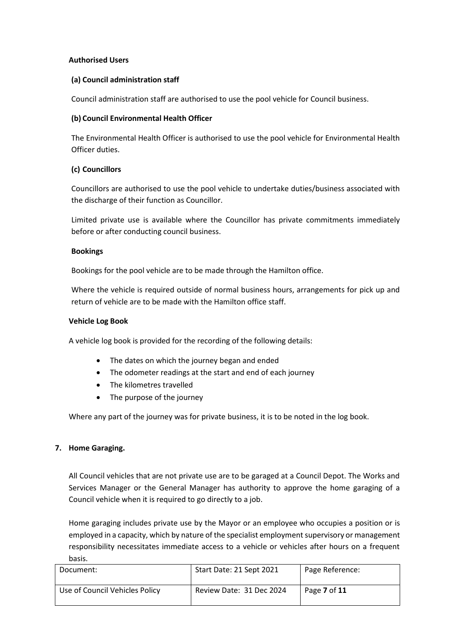#### **Authorised Users**

#### **(a) Council administration staff**

Council administration staff are authorised to use the pool vehicle for Council business.

#### **(b) Council Environmental Health Officer**

The Environmental Health Officer is authorised to use the pool vehicle for Environmental Health Officer duties.

#### **(c) Councillors**

Councillors are authorised to use the pool vehicle to undertake duties/business associated with the discharge of their function as Councillor.

Limited private use is available where the Councillor has private commitments immediately before or after conducting council business.

#### **Bookings**

Bookings for the pool vehicle are to be made through the Hamilton office.

Where the vehicle is required outside of normal business hours, arrangements for pick up and return of vehicle are to be made with the Hamilton office staff.

#### **Vehicle Log Book**

A vehicle log book is provided for the recording of the following details:

- The dates on which the journey began and ended
- The odometer readings at the start and end of each journey
- The kilometres travelled
- The purpose of the journey

Where any part of the journey was for private business, it is to be noted in the log book.

#### **7. Home Garaging.**

All Council vehicles that are not private use are to be garaged at a Council Depot. The Works and Services Manager or the General Manager has authority to approve the home garaging of a Council vehicle when it is required to go directly to a job.

Home garaging includes private use by the Mayor or an employee who occupies a position or is employed in a capacity, which by nature of the specialist employment supervisory or management responsibility necessitates immediate access to a vehicle or vehicles after hours on a frequent basis.

| Document:                      | Start Date: 21 Sept 2021 | Page Reference: |
|--------------------------------|--------------------------|-----------------|
| Use of Council Vehicles Policy | Review Date: 31 Dec 2024 | Page 7 of 11    |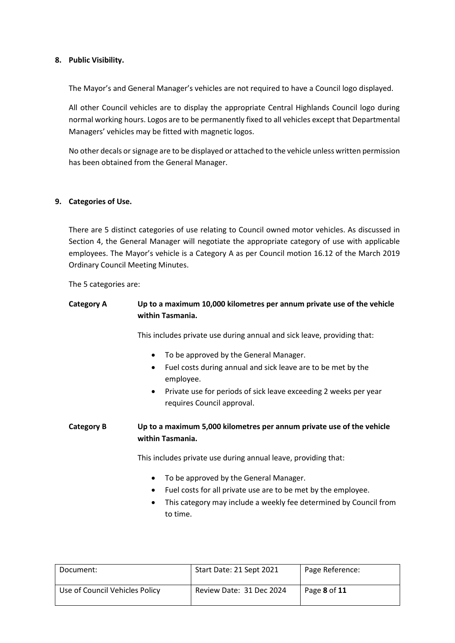#### **8. Public Visibility.**

The Mayor's and General Manager's vehicles are not required to have a Council logo displayed.

All other Council vehicles are to display the appropriate Central Highlands Council logo during normal working hours. Logos are to be permanently fixed to all vehicles except that Departmental Managers' vehicles may be fitted with magnetic logos.

No other decals or signage are to be displayed or attached to the vehicle unless written permission has been obtained from the General Manager.

#### **9. Categories of Use.**

There are 5 distinct categories of use relating to Council owned motor vehicles. As discussed in Section 4, the General Manager will negotiate the appropriate category of use with applicable employees. The Mayor's vehicle is a Category A as per Council motion 16.12 of the March 2019 Ordinary Council Meeting Minutes.

The 5 categories are:

## **Category A Up to a maximum 10,000 kilometres per annum private use of the vehicle within Tasmania.**

This includes private use during annual and sick leave, providing that:

- To be approved by the General Manager.
- Fuel costs during annual and sick leave are to be met by the employee.
- Private use for periods of sick leave exceeding 2 weeks per year requires Council approval.

**Category B Up to a maximum 5,000 kilometres per annum private use of the vehicle within Tasmania.**

This includes private use during annual leave, providing that:

- To be approved by the General Manager.
- Fuel costs for all private use are to be met by the employee.
- This category may include a weekly fee determined by Council from to time.

| Document:                      | Start Date: 21 Sept 2021 | Page Reference: |
|--------------------------------|--------------------------|-----------------|
| Use of Council Vehicles Policy | Review Date: 31 Dec 2024 | Page 8 of 11    |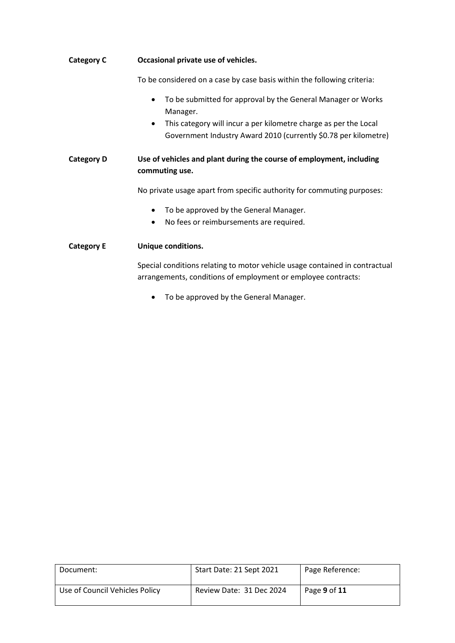| <b>Category C</b> | Occasional private use of vehicles.<br>To be considered on a case by case basis within the following criteria:                                                                                                                            |  |
|-------------------|-------------------------------------------------------------------------------------------------------------------------------------------------------------------------------------------------------------------------------------------|--|
|                   |                                                                                                                                                                                                                                           |  |
|                   | To be submitted for approval by the General Manager or Works<br>$\bullet$<br>Manager.<br>This category will incur a per kilometre charge as per the Local<br>$\bullet$<br>Government Industry Award 2010 (currently \$0.78 per kilometre) |  |
| <b>Category D</b> | Use of vehicles and plant during the course of employment, including<br>commuting use.                                                                                                                                                    |  |
|                   | No private usage apart from specific authority for commuting purposes:                                                                                                                                                                    |  |
|                   | To be approved by the General Manager.<br>$\bullet$<br>No fees or reimbursements are required.<br>$\bullet$                                                                                                                               |  |
| <b>Category E</b> | Unique conditions.                                                                                                                                                                                                                        |  |
|                   | Special conditions relating to motor vehicle usage contained in contractual<br>arrangements, conditions of employment or employee contracts:                                                                                              |  |

• To be approved by the General Manager.

| Document:                      | Start Date: 21 Sept 2021 | Page Reference: |
|--------------------------------|--------------------------|-----------------|
| Use of Council Vehicles Policy | Review Date: 31 Dec 2024 | Page 9 of 11    |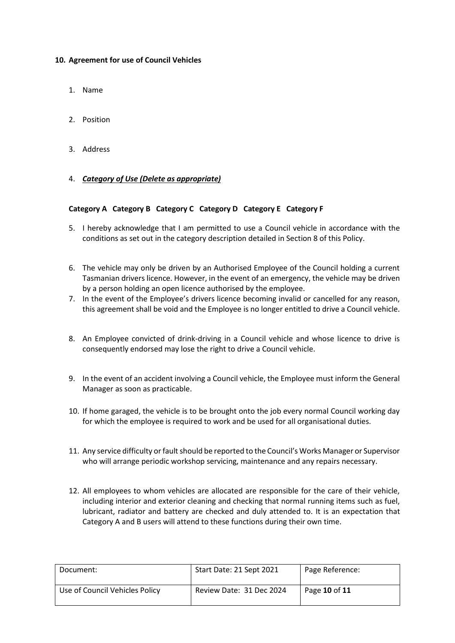#### **10. Agreement for use of Council Vehicles**

- 1. Name
- 2. Position
- 3. Address

#### 4. *Category of Use (Delete as appropriate)*

#### **Category A Category B Category C Category D Category E Category F**

- 5. I hereby acknowledge that I am permitted to use a Council vehicle in accordance with the conditions as set out in the category description detailed in Section 8 of this Policy.
- 6. The vehicle may only be driven by an Authorised Employee of the Council holding a current Tasmanian drivers licence. However, in the event of an emergency, the vehicle may be driven by a person holding an open licence authorised by the employee.
- 7. In the event of the Employee's drivers licence becoming invalid or cancelled for any reason, this agreement shall be void and the Employee is no longer entitled to drive a Council vehicle.
- 8. An Employee convicted of drink-driving in a Council vehicle and whose licence to drive is consequently endorsed may lose the right to drive a Council vehicle.
- 9. In the event of an accident involving a Council vehicle, the Employee must inform the General Manager as soon as practicable.
- 10. If home garaged, the vehicle is to be brought onto the job every normal Council working day for which the employee is required to work and be used for all organisational duties.
- 11. Any service difficulty or fault should be reported to the Council's Works Manager or Supervisor who will arrange periodic workshop servicing, maintenance and any repairs necessary.
- 12. All employees to whom vehicles are allocated are responsible for the care of their vehicle, including interior and exterior cleaning and checking that normal running items such as fuel, lubricant, radiator and battery are checked and duly attended to. It is an expectation that Category A and B users will attend to these functions during their own time.

| Document:                      | Start Date: 21 Sept 2021 | Page Reference: |
|--------------------------------|--------------------------|-----------------|
| Use of Council Vehicles Policy | Review Date: 31 Dec 2024 | Page 10 of 11   |